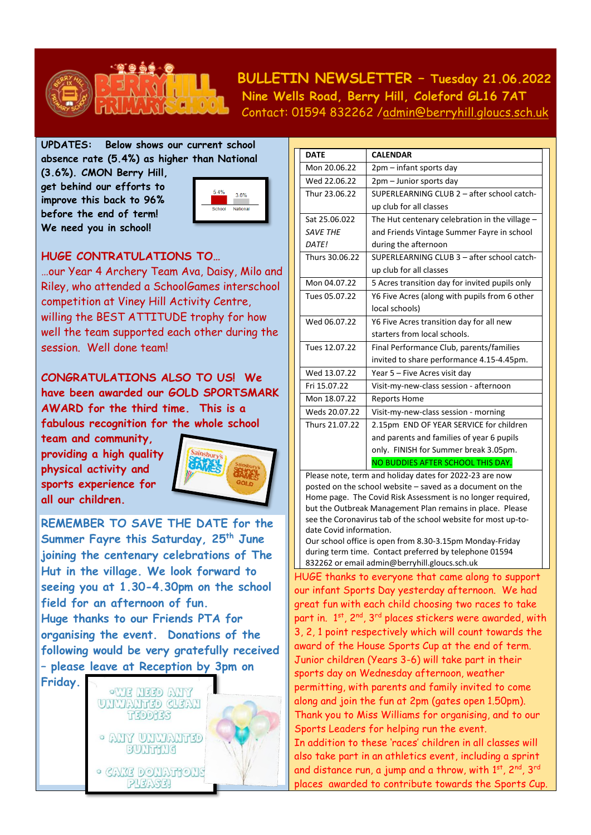

## **BULLETIN NEWSLETTER – Tuesday 21.06.2022 Nine Wells Road, Berry Hill, Coleford GL16 7AT** Contact: 01594 832262 [/admin@berryhill.gloucs.sch.uk](mailto:admin@berryhill.gloucs.sch.uk)

**UPDATES: Below shows our current school absence rate (5.4%) as higher than National**

**(3.6%). CMON Berry Hill, get behind our efforts to improve this back to 96% before the end of term! We need you in school!** 



## **HUGE CONTRATULATIONS TO…**

…our Year 4 Archery Team Ava, Daisy, Milo and Riley, who attended a SchoolGames interschool competition at Viney Hill Activity Centre, willing the BEST ATTITUDE trophy for how well the team supported each other during the session. Well done team!

**CONGRATULATIONS ALSO TO US! We have been awarded our GOLD SPORTSMARK AWARD for the third time. This is a fabulous recognition for the whole school** 

**team and community, providing a high quality physical activity and sports experience for all our children.** 



**REMEMBER TO SAVE THE DATE for the Summer Fayre this Saturday, 25th June joining the centenary celebrations of The Hut in the village. We look forward to seeing you at 1.30-4.30pm on the school field for an afternoon of fun. Huge thanks to our Friends PTA for organising the event. Donations of the following would be very gratefully received** 

**– please leave at Reception by 3pm on** 



| <b>DATE</b>     | <b>CALENDAR</b>                                |  |
|-----------------|------------------------------------------------|--|
| Mon 20.06.22    | 2pm – infant sports day                        |  |
| Wed 22.06.22    | 2pm - Junior sports day                        |  |
| Thur 23.06.22   | SUPERLEARNING CLUB 2 - after school catch-     |  |
|                 | up club for all classes                        |  |
| Sat 25.06.022   | The Hut centenary celebration in the village - |  |
| <b>SAVE THE</b> | and Friends Vintage Summer Fayre in school     |  |
| DATE!           | during the afternoon                           |  |
| Thurs 30.06.22  | SUPERLEARNING CLUB 3 - after school catch-     |  |
|                 | up club for all classes                        |  |
| Mon 04.07.22    | 5 Acres transition day for invited pupils only |  |
| Tues 05.07.22   | Y6 Five Acres (along with pupils from 6 other  |  |
|                 | local schools)                                 |  |
| Wed 06.07.22    | Y6 Five Acres transition day for all new       |  |
|                 | starters from local schools.                   |  |
| Tues 12.07.22   | Final Performance Club, parents/families       |  |
|                 | invited to share performance 4.15-4.45pm.      |  |
| Wed 13.07.22    | Year 5 - Five Acres visit day                  |  |
| Fri 15.07.22    | Visit-my-new-class session - afternoon         |  |
| Mon 18.07.22    | <b>Reports Home</b>                            |  |
| Weds 20.07.22   | Visit-my-new-class session - morning           |  |
| Thurs 21.07.22  | 2.15pm END OF YEAR SERVICE for children        |  |
|                 | and parents and families of year 6 pupils      |  |
|                 | only. FINISH for Summer break 3.05pm.          |  |
|                 | NO BUDDIES AFTER SCHOOL THIS DAY.              |  |
|                 |                                                |  |

Please note, term and holiday dates for 2022-23 are now posted on the school website – saved as a document on the Home page. The Covid Risk Assessment is no longer required, but the Outbreak Management Plan remains in place. Please see the Coronavirus tab of the school website for most up-todate Covid information.

Our school office is open from 8.30-3.15pm Monday-Friday during term time. Contact preferred by telephone 01594 832262 or emai[l admin@berryhill.gloucs.sch.uk](mailto:admin@berryhill.gloucs.sch.uk)

HUGE thanks to everyone that came along to support our infant Sports Day yesterday afternoon. We had great fun with each child choosing two races to take part in. 1<sup>st</sup>, 2<sup>nd</sup>, 3<sup>rd</sup> places stickers were awarded, with 3, 2, 1 point respectively which will count towards the award of the House Sports Cup at the end of term. Junior children (Years 3-6) will take part in their sports day on Wednesday afternoon, weather permitting, with parents and family invited to come along and join the fun at 2pm (gates open 1.50pm). Thank you to Miss Williams for organising, and to our Sports Leaders for helping run the event. In addition to these 'races' children in all classes will also take part in an athletics event, including a sprint and distance run, a jump and a throw, with  $1^\mathrm{st}$ , 2 $^\mathrm{nd}$ , 3 $^\mathrm{rd}$ places awarded to contribute towards the Sports Cup.